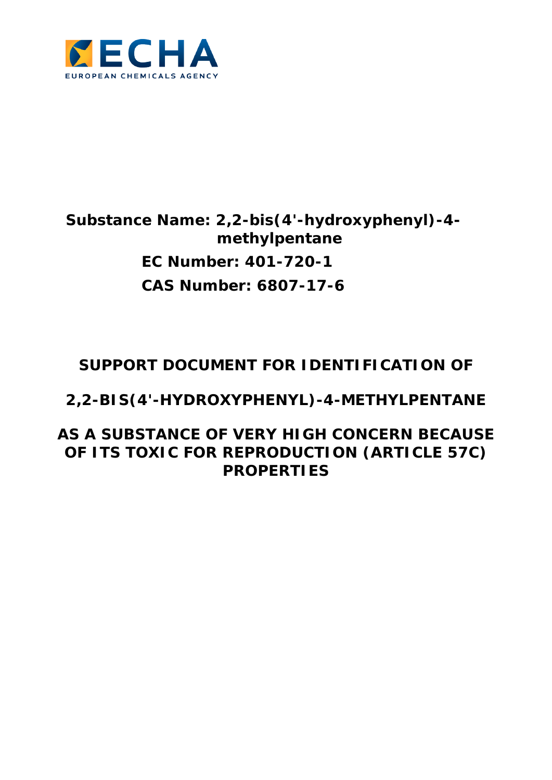

# **Substance Name: 2,2-bis(4'-hydroxyphenyl)-4 methylpentane EC Number: 401-720-1 CAS Number: 6807-17-6**

# **SUPPORT DOCUMENT FOR IDENTIFICATION OF**

**2,2-BIS(4'-HYDROXYPHENYL)-4-METHYLPENTANE** 

**AS A SUBSTANCE OF VERY HIGH CONCERN BECAUSE OF ITS TOXIC FOR REPRODUCTION (ARTICLE 57C) PROPERTIES**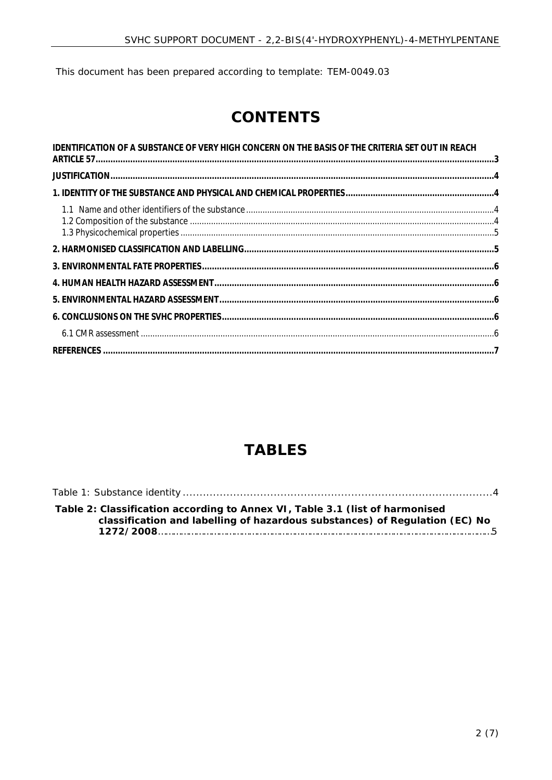This document has been prepared according to template: TEM-0049.03

# **CONTENTS**

| IDENTIFICATION OF A SUBSTANCE OF VERY HIGH CONCERN ON THE BASIS OF THE CRITERIA SET OUT IN REACH |  |
|--------------------------------------------------------------------------------------------------|--|
|                                                                                                  |  |
|                                                                                                  |  |
|                                                                                                  |  |
|                                                                                                  |  |
|                                                                                                  |  |
|                                                                                                  |  |
|                                                                                                  |  |
|                                                                                                  |  |
|                                                                                                  |  |
|                                                                                                  |  |

## **TABLES**

| Table 2: Classification according to Annex VI, Table 3.1 (list of harmonised<br>classification and labelling of hazardous substances) of Regulation (EC) No |
|-------------------------------------------------------------------------------------------------------------------------------------------------------------|
|                                                                                                                                                             |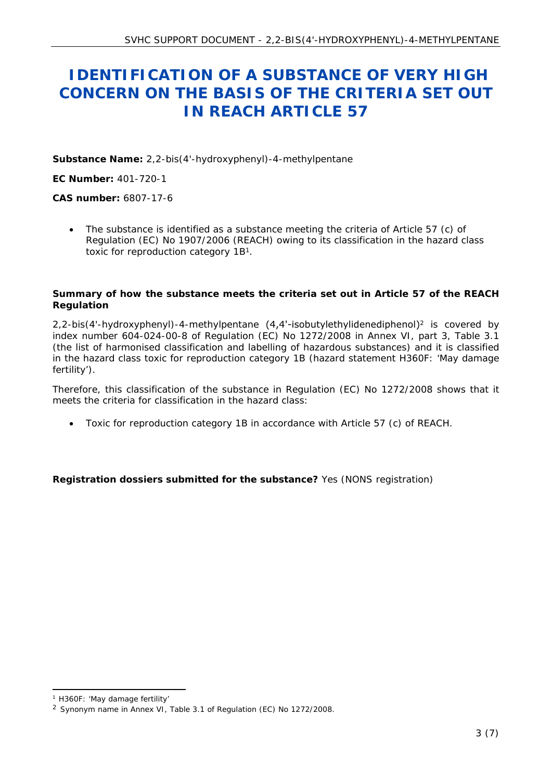## <span id="page-2-0"></span> **IDENTIFICATION OF A SUBSTANCE OF VERY HIGH CONCERN ON THE BASIS OF THE CRITERIA SET OUT IN REACH ARTICLE 57**

**Substance Name:** 2,2-bis(4'-hydroxyphenyl)-4-methylpentane

**EC Number:** 401-720-1

**CAS number:** 6807-17-6

 The substance is identified as a substance meeting the criteria of Article 57 (c) of Regulation (EC) No 1907/2006 (REACH) owing to its classification in the hazard class toxic for reproduction category 1B<sup>1</sup>.

**Summary of how the substance meets the criteria set out in Article 57 of the REACH Regulation**

2.2-bis(4'-hydroxyphenyl)-4-methylpentane (4.4'-isobutylethylidenediphenol)<sup>2</sup> is covered by index number 604-024-00-8 of Regulation (EC) No 1272/2008 in Annex VI, part 3, Table 3.1 (the list of harmonised classification and labelling of hazardous substances) and it is classified in the hazard class toxic for reproduction category 1B (hazard statement H360F: 'May damage fertility').

Therefore, this classification of the substance in Regulation (EC) No 1272/2008 shows that it meets the criteria for classification in the hazard class:

Toxic for reproduction category 1B in accordance with Article 57 (c) of REACH.

**Registration dossiers submitted for the substance?** Yes (NONS registration)

<sup>1</sup> H360F: 'May damage fertility'

<sup>2</sup> Synonym name in Annex VI, Table 3.1 of Regulation (EC) No 1272/2008.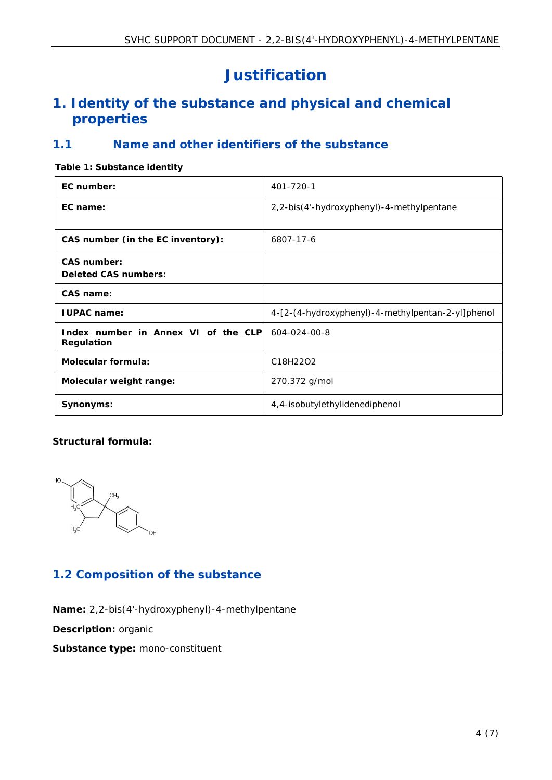# <span id="page-3-0"></span>**Justification**

## <span id="page-3-1"></span>**1. Identity of the substance and physical and chemical properties**

### <span id="page-3-2"></span>**1.1 Name and other identifiers of the substance**

#### <span id="page-3-4"></span>**Table 1: Substance identity**

| EC number:                                         | 401-720-1                                         |
|----------------------------------------------------|---------------------------------------------------|
| EC name:                                           | 2,2-bis(4'-hydroxyphenyl)-4-methylpentane         |
| CAS number (in the EC inventory):                  | 6807-17-6                                         |
| CAS number:<br>Deleted CAS numbers:                |                                                   |
| CAS name:                                          |                                                   |
| <b>IUPAC</b> name:                                 | 4-[2-(4-hydroxyphenyl)-4-methylpentan-2-yl]phenol |
| Index number in Annex VI of the CLPI<br>Regulation | 604-024-00-8                                      |
| Molecular formula:                                 | C18H22O2                                          |
| Molecular weight range:                            | 270.372 g/mol                                     |
| Synonyms:                                          | 4,4-isobutylethylidenediphenol                    |

#### **Structural formula:**



### <span id="page-3-3"></span>**1.2 Composition of the substance**

**Name:** 2,2-bis(4'-hydroxyphenyl)-4-methylpentane

**Description:** organic

**Substance type:** mono-constituent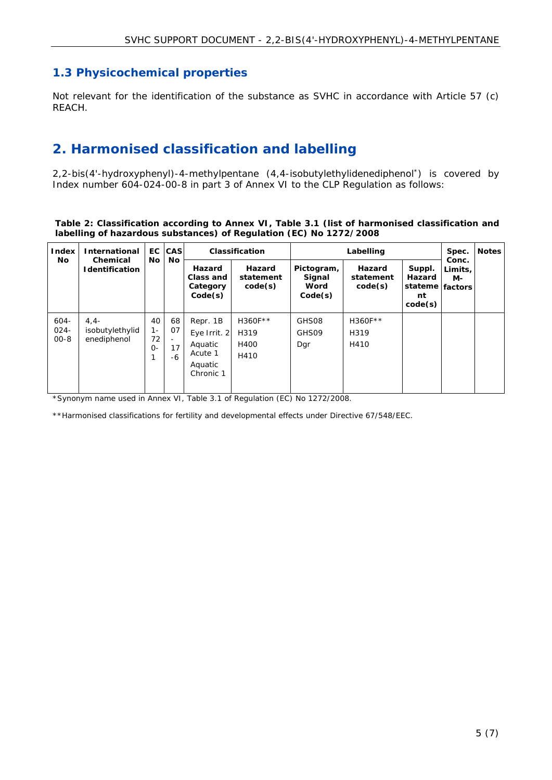#### <span id="page-4-0"></span>**1.3 Physicochemical properties**

Not relevant for the identification of the substance as SVHC in accordance with Article 57 (c) REACH.

## <span id="page-4-1"></span>**2. Harmonised classification and labelling**

2,2-bis(4'-hydroxyphenyl)-4-methylpentane (4,4-isobutylethylidenediphenol\*) is covered by Index number 604-024-00-8 in part 3 of Annex VI to the CLP Regulation as follows:

**Table 2: Classification according to Annex VI, Table 3.1 (list of harmonised classification and labelling of hazardous substances) of Regulation (EC) No 1272/2008**

| Index<br><b>No</b>             | International<br>Chemical<br>Identification | No.                        | EC CAS<br><b>No</b>                                    | Hazard<br>Class and<br>Category<br>Code(s)                             | Classification<br>Hazard<br>statement<br>code(s) | Pictogram,<br>Signal<br>Word<br>Code(s) | Labelling<br>Hazard<br>statement<br>code(s) | Suppl.<br>Hazard<br>stateme<br>nt | Spec.<br>Conc.<br>Limits.<br>M-<br>factors | <b>Notes</b> |
|--------------------------------|---------------------------------------------|----------------------------|--------------------------------------------------------|------------------------------------------------------------------------|--------------------------------------------------|-----------------------------------------|---------------------------------------------|-----------------------------------|--------------------------------------------|--------------|
| $604 -$<br>$024 -$<br>$00 - 8$ | $4.4 -$<br>isobutylethylid<br>enediphenol   | 40<br>$1 -$<br>72<br>$O -$ | 68<br>07<br>$\qquad \qquad \blacksquare$<br>17<br>$-6$ | Repr. 1B<br>Eye Irrit. 2<br>Aquatic<br>Acute 1<br>Aquatic<br>Chronic 1 | H360F**<br>H319<br>H400<br>H410                  | GHS08<br>GHS09<br>Dar                   | H360F**<br>H319<br>H410                     | code(s)                           |                                            |              |

\*Synonym name used in Annex VI, Table 3.1 of Regulation (EC) No 1272/2008.

\*\*Harmonised classifications for fertility and developmental effects under Directive 67/548/EEC.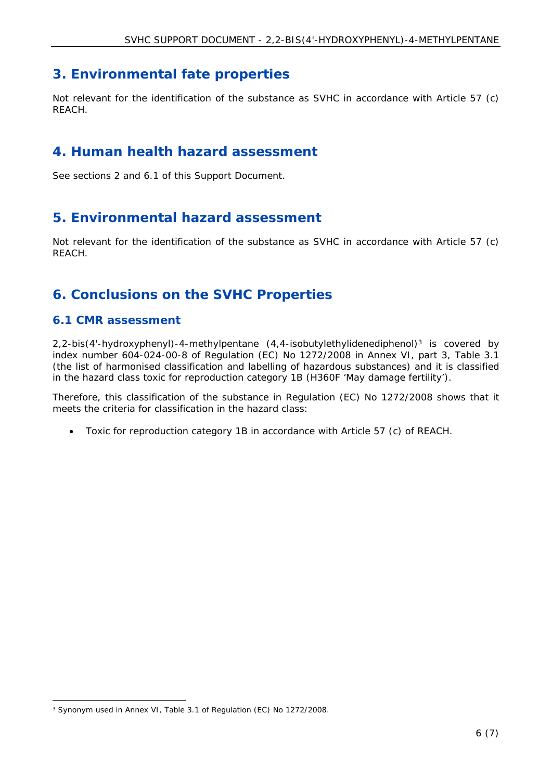## <span id="page-5-0"></span>**3. Environmental fate properties**

Not relevant for the identification of the substance as SVHC in accordance with Article 57 (c) REACH.

### <span id="page-5-1"></span>**4. Human health hazard assessment**

See sections 2 and 6.1 of this Support Document.

### <span id="page-5-2"></span>**5. Environmental hazard assessment**

Not relevant for the identification of the substance as SVHC in accordance with Article 57 (c) REACH.

## <span id="page-5-3"></span>**6. Conclusions on the SVHC Properties**

#### <span id="page-5-4"></span>**6.1 CMR assessment**

 $2,2-bis(4'-hydroxyphenyl)-4-methylpentane$   $(4,4-isobutylethylidenediphenol)<sup>3</sup>$  is covered by index number 604-024-00-8 of Regulation (EC) No 1272/2008 in Annex VI, part 3, Table 3.1 (the list of harmonised classification and labelling of hazardous substances) and it is classified in the hazard class toxic for reproduction category 1B (H360F 'May damage fertility').

Therefore, this classification of the substance in Regulation (EC) No 1272/2008 shows that it meets the criteria for classification in the hazard class:

Toxic for reproduction category 1B in accordance with Article 57 (c) of REACH.

<sup>3</sup> Synonym used in Annex VI, Table 3.1 of Regulation (EC) No 1272/2008.